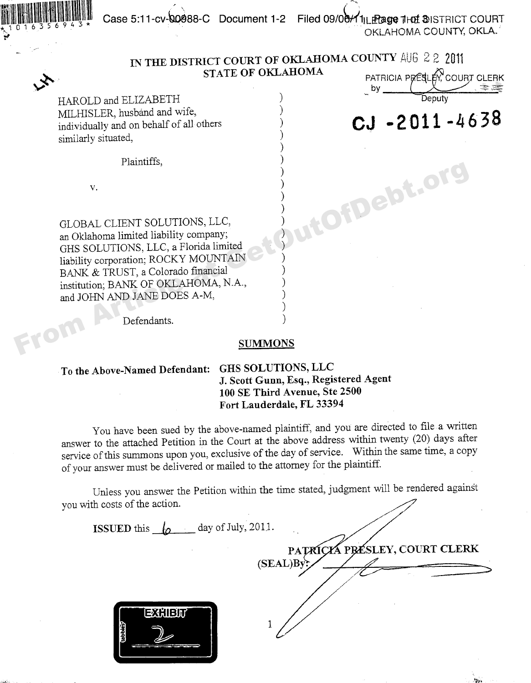Case 5:11-cv-00088-C Document 1-2 Filed 09/06/11LE age 1Hot DISTRICT COURT OKLAHOMA COUNTY, OKLA.



From

### IN THE DISTRICT COURT OF OKLAHOMA COUNTY AUG 2 2 2011 **STATE OF OKLAHOMA**

PATRICIA PRESLER COURT CLERK

CJ-2011-4638

utOfDebt.org

HAROLD and ELIZABETH MILHISLER, husband and wife, individually and on behalf of all others similarly situated,

Plaintiffs.

 $V<sub>r</sub>$ 

GLOBAL CLIENT SOLUTIONS, LLC, an Oklahoma limited liability company; GHS SOLUTIONS, LLC, a Florida limited liability corporation; ROCKY MOUNTAIN BANK & TRUST, a Colorado financial institution; BANK OF OKLAHOMA, N.A., and JOHN AND JANE DOES A-M,

Defendants.

#### **SUMMONS**

## To the Above-Named Defendant: GHS SOLUTIONS, LLC

# J. Scott Gunn, Esq., Registered Agent 100 SE Third Avenue, Ste 2500 Fort Lauderdale, FL 33394

You have been sued by the above-named plaintiff, and you are directed to file a written answer to the attached Petition in the Court at the above address within twenty (20) days after service of this summons upon you, exclusive of the day of service. Within the same time, a copy of your answer must be delivered or mailed to the attorney for the plaintiff.

Unless you answer the Petition within the time stated, judgment will be rendered against vou with costs of the action.

**ISSUED** this  $\mathbf{a}$  day of July, 2011. PATRICKA PRESLEY, COURT CLERK  $(SEAL)Bv$ EXHIBIT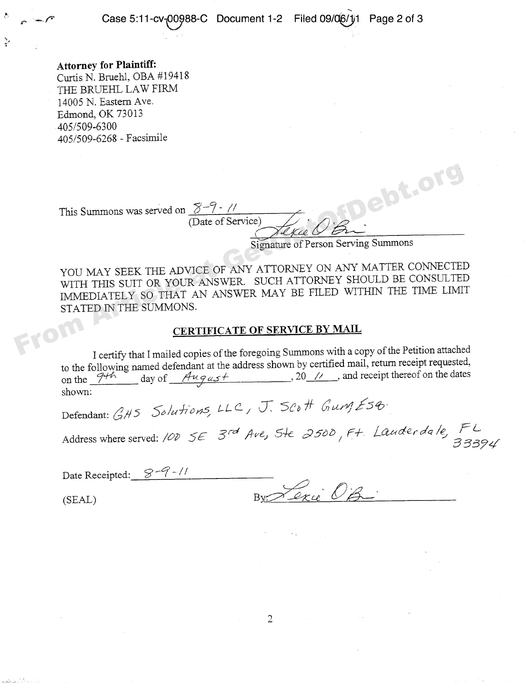Attorney for Plaintiff: Curtis N. Bruehl, OBA #19418 THE BRUEHL LAW FIRM 14005 N. Eastern Ave. Edmond, OK 73013 405/509-6300 405/509-6268 — Facsimile

This Summons was served on  $5-7 - 1/7$ 

(Date of Service)

Signature of Person Serving Summons

YOU MAY SEEK THE ADVICE OF ANY ATTORNEY ON ANY MATTER CONNECTED WITH THIS SUIT OR YOUR ANSWER, SUCH ATTORNEY SHOULD BE CONSULTED IMMEDIATELY SO THAT AN ANSWER MAY BE FILED WITHIN THE TIME LIMIT STATED IN THE SUMMONS. This Summons was served on  $\frac{\gamma - \gamma \cdot \gamma'}{\sqrt{\frac{1}{2}}\sqrt{\frac{1}{2}}\sqrt{\frac{1}{2}}\sqrt{\frac{1}{2}}\sqrt{\frac{1}{2}}}}$ <br>Signature of Person Serving Summons<br>YOU MAY SEEK THE ADVICE OF ANY ATTORNEY ON ANY MATTER CONNECTEI<br>WITH THIS SUIT OR YOUR ANSWER. SU

#### **CERTIFICATE OF SERVICE BY MAIL**

I certify that I mailed copies of the foregoing Summons with a copy of the Petition attached to the following named defendant at the address shown by certified mail, return receipt requested,<br>on the  $\frac{7+h}{\sqrt{u^2 + 4}}$  day of  $\frac{Au}{du}$  and  $\frac{du}{du}$ , 20 // and receipt thereof on the dates  $\overline{20}/\overline{7}$ , and receipt thereof on the dates shown:

Defendant: GHS Solutions, LLC, J. SCOH Gung ESG

Address where served: 10D SE 3<sup>rd</sup> Ave, 5te *2500*, Ft. Lauder da le, 1 C<br>33394

| Date Receipted: $8-9$ -// |              |
|---------------------------|--------------|
|                           | By Lexie O'B |
| (SEAL)                    |              |

 $\overline{2}$